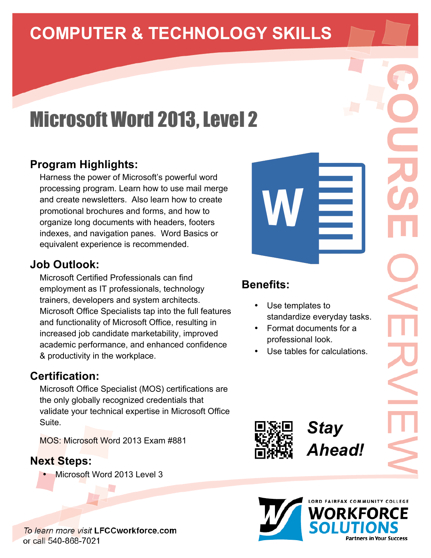# **COMPUTER & TECHNOLOGY SKILLS**

# **Microsoft Word 2013, Level 2**

#### **Program Highlights:**

Harness the power of Microsoft's powerful word processing program. Learn how to use mail merge and create newsletters. Also learn how to create promotional brochures and forms, and how to organize long documents with headers, footers indexes, and navigation panes. Word Basics or equivalent experience is recommended.

#### **Job Outlook:**

Microsoft Certified Professionals can find employment as IT professionals, technology trainers, developers and system architects. Microsoft Office Specialists tap into the full features and functionality of Microsoft Office, resulting in increased job candidate marketability, improved academic performance, and enhanced confidence & productivity in the workplace.

#### **Certification:**

Microsoft Office Specialist (MOS) certifications are the only globally recognized credentials that validate your technical expertise in Microsoft Office Suite.

MOS: Microsoft Word 2013 Exam #881

#### **Next Steps:**

• Microsoft Word 2013 Level 3

To learn more visit LFCCworkforce.com or call 540-868-7021

## **Benefits:**

- Use templates to standardize everyday tasks.
- Format documents for a professional look.
- Use tables for calculations.